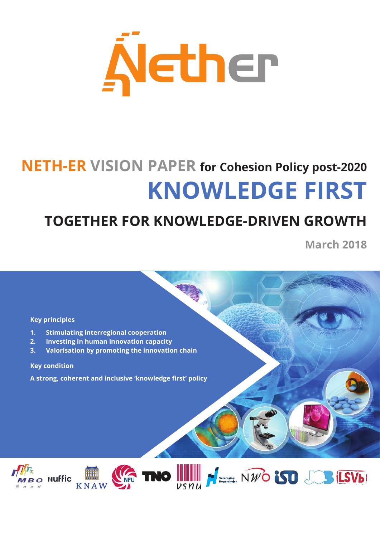

# **NETH-ER VISION PAPER for Cohesion Policy post-2020 KNOWLEDGE FIRST**

## **TOGETHER FOR KNOWLEDGE-DRIVEN GROWTH**

**March 2018**

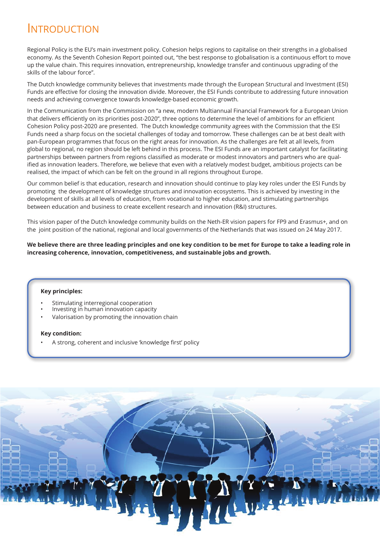## INTRODUCTION

Regional Policy is the EU's main investment policy. Cohesion helps regions to capitalise on their strengths in a globalised economy. As the Seventh Cohesion Report pointed out, "the best response to globalisation is a continuous effort to move up the value chain. This requires innovation, entrepreneurship, knowledge transfer and continuous upgrading of the skills of the labour force".

The Dutch knowledge community believes that investments made through the European Structural and Investment (ESI) Funds are effective for closing the innovation divide. Moreover, the ESI Funds contribute to addressing future innovation needs and achieving convergence towards knowledge-based economic growth.

In the Communication from the Commission on "a new, modern Multiannual Financial Framework for a European Union that delivers efficiently on its priorities post-2020", three options to determine the level of ambitions for an efficient Cohesion Policy post-2020 are presented. The Dutch knowledge community agrees with the Commission that the ESI Funds need a sharp focus on the societal challenges of today and tomorrow. These challenges can be at best dealt with pan-European programmes that focus on the right areas for innovation. As the challenges are felt at all levels, from global to regional, no region should be left behind in this process. The ESI Funds are an important catalyst for facilitating partnerships between partners from regions classified as moderate or modest innovators and partners who are qualified as innovation leaders. Therefore, we believe that even with a relatively modest budget, ambitious projects can be realised, the impact of which can be felt on the ground in all regions throughout Europe.

Our common belief is that education, research and innovation should continue to play key roles under the ESI Funds by promoting the development of knowledge structures and innovation ecosystems. This is achieved by investing in the development of skills at all levels of education, from vocational to higher education, and stimulating partnerships between education and business to create excellent research and innovation (R&I) structures.

This vision paper of the Dutch knowledge community builds on the Neth-ER vision papers for FP9 and Erasmus+, and on the joint position of the national, regional and local governments of the Netherlands that was issued on 24 May 2017.

**We believe there are three leading principles and one key condition to be met for Europe to take a leading role in increasing coherence, innovation, competitiveness, and sustainable jobs and growth.**

#### **Key principles:**

- Stimulating interregional cooperation
- Investing in human innovation capacity
- Valorisation by promoting the innovation chain

#### **Key condition:**

• A strong, coherent and inclusive 'knowledge first' policy

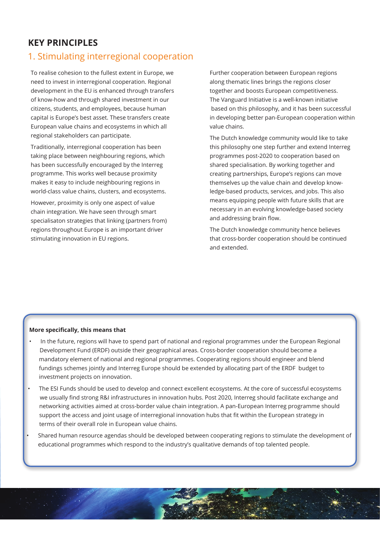## **KEY PRINCIPLES**

### 1. Stimulating interregional cooperation

To realise cohesion to the fullest extent in Europe, we need to invest in interregional cooperation. Regional development in the EU is enhanced through transfers of know-how and through shared investment in our citizens, students, and employees, because human capital is Europe's best asset. These transfers create European value chains and ecosystems in which all regional stakeholders can participate.

Traditionally, interregional cooperation has been taking place between neighbouring regions, which has been successfully encouraged by the Interreg programme. This works well because proximity makes it easy to include neighbouring regions in world-class value chains, clusters, and ecosystems.

However, proximity is only one aspect of value chain integration. We have seen through smart specialisaton strategies that linking (partners from) regions throughout Europe is an important driver stimulating innovation in EU regions.

Further cooperation between European regions along thematic lines brings the regions closer together and boosts European competitiveness. The Vanguard Initiative is a well-known initiative based on this philosophy, and it has been successful in developing better pan-European cooperation within value chains.

The Dutch knowledge community would like to take this philosophy one step further and extend Interreg programmes post-2020 to cooperation based on shared specialisation. By working together and creating partnerships, Europe's regions can move themselves up the value chain and develop knowledge-based products, services, and jobs. This also means equipping people with future skills that are necessary in an evolving knowledge-based society and addressing brain flow.

The Dutch knowledge community hence believes that cross-border cooperation should be continued and extended.

- In the future, regions will have to spend part of national and regional programmes under the European Regional Development Fund (ERDF) outside their geographical areas. Cross-border cooperation should become a mandatory element of national and regional programmes. Cooperating regions should engineer and blend fundings schemes jointly and Interreg Europe should be extended by allocating part of the ERDF budget to investment projects on innovation.
- The ESI Funds should be used to develop and connect excellent ecosystems. At the core of successful ecosystems we usually find strong R&I infrastructures in innovation hubs. Post 2020, Interreg should facilitate exchange and networking activities aimed at cross-border value chain integration. A pan-European Interreg programme should support the access and joint usage of interregional innovation hubs that fit within the European strategy in terms of their overall role in European value chains.
- Shared human resource agendas should be developed between cooperating regions to stimulate the development of educational programmes which respond to the industry's qualitative demands of top talented people.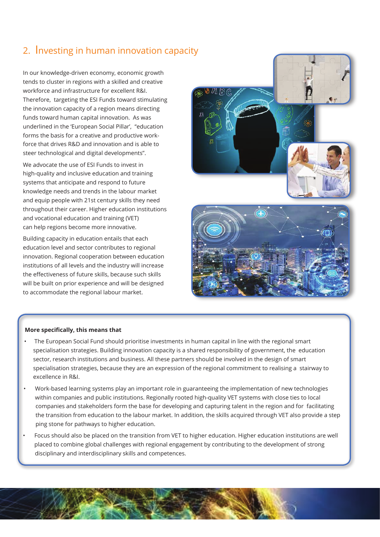## 2. Investing in human innovation capacity

In our knowledge-driven economy, economic growth tends to cluster in regions with a skilled and creative workforce and infrastructure for excellent R&I. Therefore, targeting the ESI Funds toward stimulating the innovation capacity of a region means directing funds toward human capital innovation. As was underlined in the 'European Social Pillar', "education forms the basis for a creative and productive workforce that drives R&D and innovation and is able to steer technological and digital developments".

We advocate the use of ESI Funds to invest in high-quality and inclusive education and training systems that anticipate and respond to future knowledge needs and trends in the labour market and equip people with 21st century skills they need throughout their career. Higher education institutions and vocational education and training (VET) can help regions become more innovative.

Building capacity in education entails that each education level and sector contributes to regional innovation. Regional cooperation between education institutions of all levels and the industry will increase the effectiveness of future skills, because such skills will be built on prior experience and will be designed to accommodate the regional labour market.



- The European Social Fund should prioritise investments in human capital in line with the regional smart specialisation strategies. Building innovation capacity is a shared responsibility of government, the education sector, research institutions and business. All these partners should be involved in the design of smart specialisation strategies, because they are an expression of the regional commitment to realising a stairway to excellence in R&I.
- Work-based learning systems play an important role in guaranteeing the implementation of new technologies within companies and public institutions. Regionally rooted high-quality VET systems with close ties to local companies and stakeholders form the base for developing and capturing talent in the region and for facilitating the transition from education to the labour market. In addition, the skills acquired through VET also provide a step ping stone for pathways to higher education.
- Focus should also be placed on the transition from VET to higher education. Higher education institutions are well placed to combine global challenges with regional engagement by contributing to the development of strong disciplinary and interdisciplinary skills and competences.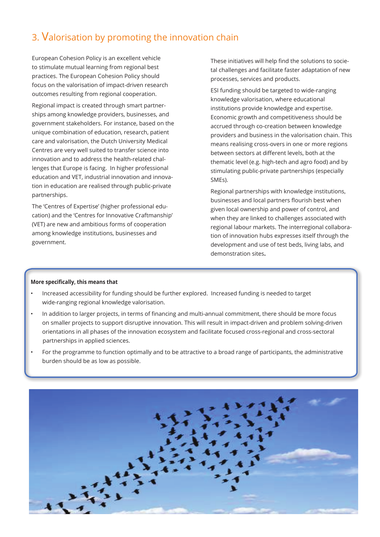## 3. Valorisation by promoting the innovation chain

European Cohesion Policy is an excellent vehicle to stimulate mutual learning from regional best practices. The European Cohesion Policy should focus on the valorisation of impact-driven research outcomes resulting from regional cooperation.

Regional impact is created through smart partnerships among knowledge providers, businesses, and government stakeholders. For instance, based on the unique combination of education, research, patient care and valorisation, the Dutch University Medical Centres are very well suited to transfer science into innovation and to address the health-related challenges that Europe is facing. In higher professional education and VET, industrial innovation and innovation in education are realised through public-private partnerships.

The 'Centres of Expertise' (higher professional education) and the 'Centres for Innovative Craftmanship' (VET) are new and ambitious forms of cooperation among knowledge institutions, businesses and government.

These initiatives will help find the solutions to societal challenges and facilitate faster adaptation of new processes, services and products.

ESI funding should be targeted to wide-ranging knowledge valorisation, where educational institutions provide knowledge and expertise. Economic growth and competitiveness should be accrued through co-creation between knowledge providers and business in the valorisation chain. This means realising cross-overs in one or more regions between sectors at different levels, both at the thematic level (e.g. high-tech and agro food) and by stimulating public-private partnerships (especially SMEs).

Regional partnerships with knowledge institutions, businesses and local partners flourish best when given local ownership and power of control, and when they are linked to challenges associated with regional labour markets. The interregional collaboration of innovation hubs expresses itself through the development and use of test beds, living labs, and demonstration sites**.** 

- Increased accessibility for funding should be further explored. Increased funding is needed to target wide-ranging regional knowledge valorisation.
- In addition to larger projects, in terms of financing and multi-annual commitment, there should be more focus on smaller projects to support disruptive innovation. This will result in impact-driven and problem solving-driven orientations in all phases of the innovation ecosystem and facilitate focused cross-regional and cross-sectoral partnerships in applied sciences.
- For the programme to function optimally and to be attractive to a broad range of participants, the administrative burden should be as low as possible.

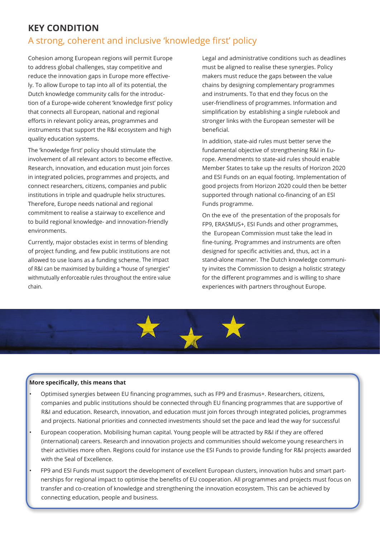## **KEY CONDITION**

## A strong, coherent and inclusive 'knowledge first' policy

Cohesion among European regions will permit Europe to address global challenges, stay competitive and reduce the innovation gaps in Europe more effectively. To allow Europe to tap into all of its potential, the Dutch knowledge community calls for the introduction of a Europe-wide coherent 'knowledge first' policy that connects all European, national and regional efforts in relevant policy areas, programmes and instruments that support the R&I ecosystem and high quality education systems.

The 'knowledge first' policy should stimulate the involvement of all relevant actors to become effective. Research, innovation, and education must join forces in integrated policies, programmes and projects, and connect researchers, citizens, companies and public institutions in triple and quadruple helix structures. Therefore, Europe needs national and regional commitment to realise a stairway to excellence and to build regional knowledge- and innovation-friendly environments.

Currently, major obstacles exist in terms of blending of project funding, and few public institutions are not allowed to use loans as a funding scheme. The impact of R&I can be maximised by building a "house of synergies" withmutually enforceable rules throughout the entire value chain.

Legal and administrative conditions such as deadlines must be aligned to realise these synergies. Policy makers must reduce the gaps between the value chains by designing complementary programmes and instruments. To that end they focus on the user-friendliness of programmes. Information and simplification by establishing a single rulebook and stronger links with the European semester will be beneficial.

In addition, state-aid rules must better serve the fundamental objective of strengthening R&I in Europe. Amendments to state-aid rules should enable Member States to take up the results of Horizon 2020 and ESI Funds on an equal footing. Implementation of good projects from Horizon 2020 could then be better supported through national co-financing of an ESI Funds programme.

On the eve of the presentation of the proposals for FP9, ERASMUS+, ESI Funds and other programmes, the European Commission must take the lead in fine-tuning. Programmes and instruments are often designed for specific activities and, thus, act in a stand-alone manner. The Dutch knowledge community invites the Commission to design a holistic strategy for the different programmes and is willing to share experiences with partners throughout Europe.



- Optimised synergies between EU financing programmes, such as FP9 and Erasmus+. Researchers, citizens, companies and public institutions should be connected through EU financing programmes that are supportive of R&I and education. Research, innovation, and education must join forces through integrated policies, programmes and projects. National priorities and connected investments should set the pace and lead the way for successful
- European cooperation. Mobilising human capital. Young people will be attracted by R&I if they are offered (international) careers. Research and innovation projects and communities should welcome young researchers in their activities more often. Regions could for instance use the ESI Funds to provide funding for R&I projects awarded with the Seal of Excellence.
- FP9 and ESI Funds must support the development of excellent European clusters, innovation hubs and smart partnerships for regional impact to optimise the benefits of EU cooperation. All programmes and projects must focus on transfer and co-creation of knowledge and strengthening the innovation ecosystem. This can be achieved by connecting education, people and business.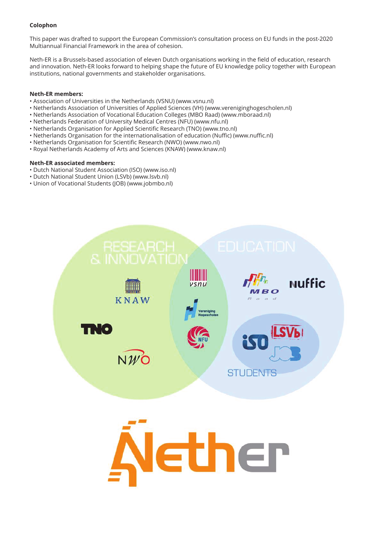#### **Colophon**

This paper was drafted to support the European Commission's consultation process on EU funds in the post-2020 Multiannual Financial Framework in the area of cohesion.

Neth-ER is a Brussels-based association of eleven Dutch organisations working in the field of education, research and innovation. Neth-ER looks forward to helping shape the future of EU knowledge policy together with European institutions, national governments and stakeholder organisations.

#### **Neth-ER members:**

- Association of Universities in the Netherlands (VSNU) (www.vsnu.nl)
- Netherlands Association of Universities of Applied Sciences (VH) (www.vereniginghogescholen.nl)
- Netherlands Association of Vocational Education Colleges (MBO Raad) (www.mboraad.nl)
- Netherlands Federation of University Medical Centres (NFU) (www.nfu.nl)
- Netherlands Organisation for Applied Scientific Research (TNO) (www.tno.nl)
- Netherlands Organisation for the internationalisation of education (Nuffic) (www.nuffic.nl)
- Netherlands Organisation for Scientific Research (NWO) (www.nwo.nl)
- Royal Netherlands Academy of Arts and Sciences (KNAW) (www.knaw.nl)

#### **Neth-ER associated members:**

- Dutch National Student Association (ISO) (www.iso.nl)
- Dutch National Student Union (LSVb) (www.lsvb.nl)
- Union of Vocational Students (JOB) (www.jobmbo.nl)